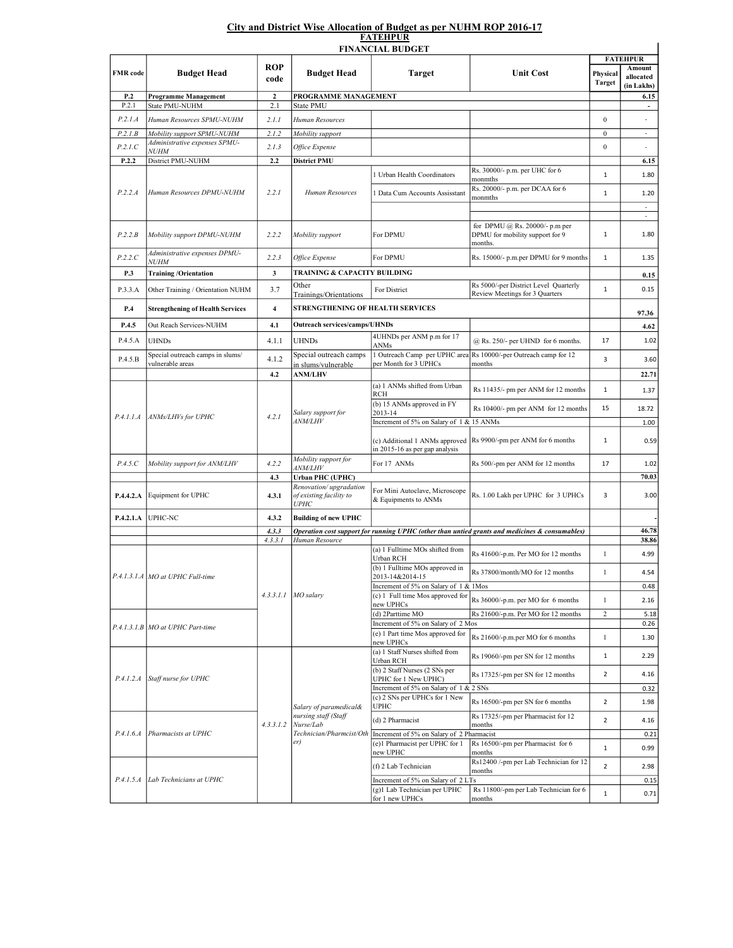## City and District Wise Allocation of Budget as per NUHM ROP 2016-17 FATEHPUR

|                  |                                              |                    |                                                                  | <b>FINANCIAL BUDGET</b>                                                     |                                                                                                | <b>FATEHPUR</b>              |                                   |
|------------------|----------------------------------------------|--------------------|------------------------------------------------------------------|-----------------------------------------------------------------------------|------------------------------------------------------------------------------------------------|------------------------------|-----------------------------------|
| <b>FMR</b> code  | <b>Budget Head</b>                           | <b>ROP</b><br>code | <b>Budget Head</b>                                               | <b>Target</b>                                                               | <b>Unit Cost</b>                                                                               | Physical<br><b>Target</b>    | Amount<br>allocated<br>(in Lakhs) |
| P.2              | Programme Management                         | $\overline{2}$     | PROGRAMME MANAGEMENT                                             |                                                                             |                                                                                                |                              | 6.15                              |
| P.2.1            | State PMU-NUHM                               | 2.1                | <b>State PMU</b>                                                 |                                                                             |                                                                                                |                              | $\overline{\phantom{a}}$          |
| P.2.1.A          | Human Resources SPMU-NUHM                    | 2.1.1              | Human Resources                                                  |                                                                             |                                                                                                | $\mathbf{0}$                 |                                   |
| P.2.1.B          | Mobility support SPMU-NUHM                   | 2.1.2              | Mobility support                                                 |                                                                             |                                                                                                | $\bf{0}$                     | $\overline{\phantom{a}}$          |
| P.2.1.C          | Administrative expenses SPMU-                | 2.1.3              | Office Expense                                                   |                                                                             |                                                                                                | $\mathbf{0}$                 | ٠                                 |
| P.2.2            | <i>NUHM</i><br>District PMU-NUHM             | 2.2                | <b>District PMU</b>                                              |                                                                             |                                                                                                |                              | 6.15                              |
| P.2.2.A          | Human Resources DPMU-NUHM                    | 2.2.1              |                                                                  | 1 Urban Health Coordinators                                                 | Rs. 30000/- p.m. per UHC for 6<br>monmths                                                      | 1                            | 1.80                              |
|                  |                                              |                    | Human Resources                                                  | 1 Data Cum Accounts Assisstant                                              | Rs. 20000/- p.m. per DCAA for 6<br>monmths                                                     | $1\,$                        | 1.20<br>÷.                        |
|                  |                                              |                    |                                                                  |                                                                             | for DPMU @ Rs. 20000/- p.m per                                                                 |                              | ä,                                |
| P.2.2.B          | Mobility support DPMU-NUHM                   | 2.2.2              | Mobility support                                                 | For DPMU                                                                    | DPMU for mobility support for 9<br>months.                                                     | $\mathbf{1}$                 | 1.80                              |
| P.2.2.C          | Administrative expenses DPMU-<br><i>NUHM</i> | 2.2.3              | Office Expense                                                   | For DPMU                                                                    | Rs. 15000/- p.m.per DPMU for 9 months                                                          | $1\,$                        | 1.35                              |
| P.3              | <b>Training/Orientation</b>                  | $\mathbf{3}$       | TRAINING & CAPACITY BUILDING                                     |                                                                             |                                                                                                |                              | 0.15                              |
| P.3.3.A          | Other Training / Orientation NUHM            | 3.7                | Other<br>Trainings/Orientations                                  | For District                                                                | Rs 5000/-per District Level Quarterly<br>Review Meetings for 3 Quarters                        | $1\,$                        | 0.15                              |
| P.4              | <b>Strengthening of Health Services</b>      | $\overline{4}$     | STRENGTHENING OF HEALTH SERVICES                                 |                                                                             |                                                                                                |                              | 97.36                             |
| P.4.5            | Out Reach Services-NUHM                      | 4.1                | <b>Outreach services/camps/UHNDs</b>                             |                                                                             |                                                                                                |                              | 4.62                              |
| P.4.5.A          | <b>UHNDs</b>                                 | 4.1.1              | <b>UHNDs</b>                                                     | 4UHNDs per ANM p.m for 17<br>ANMs                                           | @ Rs. 250/- per UHND for 6 months.                                                             | 17                           | 1.02                              |
| P.4.5.B          | Special outreach camps in slums/             | 4.1.2              | Special outreach camps                                           | 1 Outreach Camp per UPHC area                                               | Rs 10000/-per Outreach camp for 12                                                             | 3                            | 3.60                              |
|                  | ulnerable areas                              |                    | in slums/vulnerable                                              | per Month for 3 UPHCs                                                       | months                                                                                         |                              |                                   |
|                  |                                              | 4.2                | <b>ANM/LHV</b>                                                   | (a) 1 ANMs shifted from Urban                                               |                                                                                                |                              | 22.71                             |
| <i>P.4.1.1.A</i> | ANMs/LHVs for UPHC                           | 4.2.1              |                                                                  | RCH<br>(b) 15 ANMs approved in FY                                           | Rs 11435/- pm per ANM for 12 months                                                            | 1                            | 1.37                              |
|                  |                                              |                    | Salary support for                                               | 2013-14                                                                     | Rs 10400/- pm per ANM for 12 months                                                            | 15                           | 18.72                             |
|                  |                                              |                    | <i>ANM/LHV</i>                                                   | Increment of 5% on Salary of 1 & 15 ANMs<br>in 2015-16 as per gap analysis  | (c) Additional 1 ANMs approved Rs 9900/-pm per ANM for 6 months                                | 1                            | 1.00<br>0.59                      |
| P.4.5.C          | Mobility support for ANM/LHV                 | 4.2.2              | Mobility support for<br><i>ANM/LHV</i>                           | For 17 ANMs                                                                 | Rs 500/-pm per ANM for 12 months                                                               | 17                           | 1.02                              |
|                  |                                              | 4.3                | <b>Urban PHC (UPHC)</b>                                          |                                                                             |                                                                                                |                              | 70.03                             |
| P.4.4.2.A        | Equipment for UPHC                           | 4.3.1              | Renovation/upgradation<br>of existing facility to<br><b>UPHC</b> | For Mini Autoclave, Microscope<br>& Equipments to ANMs                      | Rs. 1.00 Lakh per UPHC for 3 UPHCs                                                             | 3                            | 3.00                              |
| P.4.2.1.A        | UPHC-NC                                      | 4.3.2              | <b>Building of new UPHC</b>                                      |                                                                             |                                                                                                |                              |                                   |
|                  |                                              | 4.3.3              |                                                                  |                                                                             | Operation cost support for running UPHC (other than untied grants and medicines & consumables) |                              | 46.78<br>38.86                    |
|                  |                                              | 4.3.3.1            | Human Resource                                                   | (a) 1 Fulltime MOs shifted from                                             |                                                                                                |                              |                                   |
|                  | P.4.1.3.1.A MO at UPHC Full-time             |                    | $4.3.3.1.1$ MO salary                                            | Urban RCH<br>(b) 1 Fulltime MOs approved in                                 | Rs 41600/-p.m. Per MO for 12 months<br>Rs 37800/month/MO for 12 months                         | $\mathbf{1}$<br>$\mathbf{1}$ | 4.99<br>4.54                      |
|                  |                                              |                    |                                                                  | 2013-14&2014-15<br>Increment of 5% on Salary of 1 & 1Mos                    |                                                                                                |                              |                                   |
|                  |                                              |                    |                                                                  | (c) 1 Full time Mos approved for                                            |                                                                                                |                              | 0.48                              |
|                  |                                              |                    |                                                                  | new UPHCs                                                                   | Rs 36000/-p.m. per MO for 6 months                                                             | $\mathbf{1}$                 | 2.16                              |
|                  |                                              |                    |                                                                  | (d) 2Parttime MO<br>Increment of 5% on Salary of 2 Mos                      | Rs 21600/-p.m. Per MO for 12 months                                                            | $\overline{c}$               | 5.18<br>0.26                      |
|                  | P.4.1.3.1.B MO at UPHC Part-time             |                    |                                                                  | (e) 1 Part time Mos approved for<br>new UPHCs                               | Rs 21600/-p.m.per MO for 6 months                                                              | $\mathbf{1}$                 | 1.30                              |
| <i>P.4.1.2.A</i> | Staff nurse for UPHC                         | 4.3.3.1.2          |                                                                  | (a) 1 Staff Nurses shifted from<br>Urban RCH                                | Rs 19060/-pm per SN for 12 months                                                              | 1                            | 2.29                              |
|                  |                                              |                    |                                                                  | (b) 2 Staff Nurses (2 SNs per<br><b>UPHC</b> for 1 New UPHC)                | Rs 17325/-pm per SN for 12 months                                                              | $\overline{2}$               | 4.16                              |
|                  |                                              |                    |                                                                  | Increment of 5% on Salary of 1 & 2 SNs                                      |                                                                                                |                              | 0.32                              |
|                  |                                              |                    | Salary of paramedical&                                           | (c) 2 SNs per UPHCs for 1 New<br>UPHC                                       | Rs 16500/-pm per SN for 6 months                                                               | $\overline{2}$               | 1.98                              |
| P.4.1.6.4        | Pharmacists at UPHC                          |                    | nursing staff (Staff<br>Nurse/Lab                                | (d) 2 Pharmacist                                                            | Rs 17325/-pm per Pharmacist for 12<br>months                                                   | $\overline{2}$               | 4.16                              |
|                  |                                              |                    | Technician/Pharmcist/Oth<br>er)                                  | Increment of 5% on Salary of 2 Pharmacist<br>(e)1 Pharmacist per UPHC for 1 | Rs 16500/-pm per Pharmacist for 6                                                              |                              | 0.21                              |
|                  |                                              |                    |                                                                  | new UPHC                                                                    | months<br>Rs12400 /-pm per Lab Technician for 12                                               | 1                            | 0.99                              |
|                  |                                              |                    |                                                                  | (f) 2 Lab Technician                                                        | months                                                                                         | $\overline{2}$               | 2.98                              |
|                  | P.4.1.5.A Lab Technicians at UPHC            |                    |                                                                  | Increment of 5% on Salary of 2 LTs<br>(g)1 Lab Technician per UPHC          | Rs 11800/-pm per Lab Technician for 6                                                          |                              | 0.15                              |
|                  |                                              |                    |                                                                  | for 1 new UPHCs                                                             | months                                                                                         | $1\,$                        | 0.71                              |